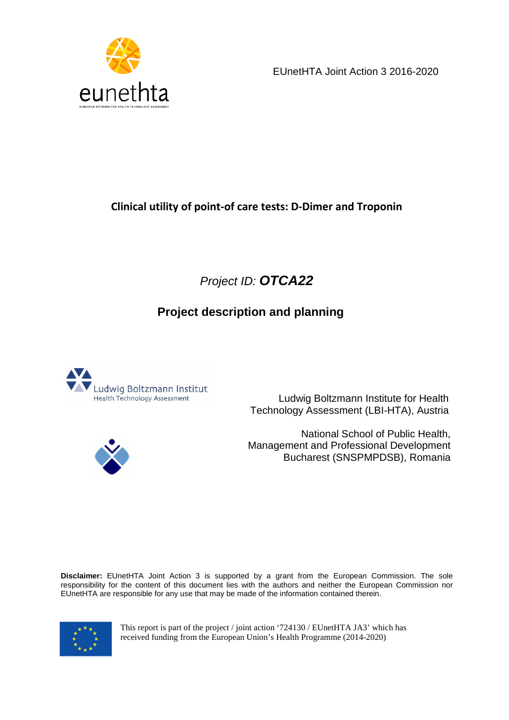

EUnetHTA Joint Action 3 2016-2020

# **Clinical utility of point-of care tests: D-Dimer and Troponin**

# Project ID: **OTCA22**

# **Project description and planning**



 Ludwig Boltzmann Institute for Health Technology Assessment (LBI-HTA), Austria



 National School of Public Health, Management and Professional Development Bucharest (SNSPMPDSB), Romania

**Disclaimer:** EUnetHTA Joint Action 3 is supported by a grant from the European Commission. The sole responsibility for the content of this document lies with the authors and neither the European Commission nor EUnetHTA are responsible for any use that may be made of the information contained therein.



This report is part of the project / joint action '724130 / EUnetHTA JA3' which has received funding from the European Union's Health Programme (2014-2020)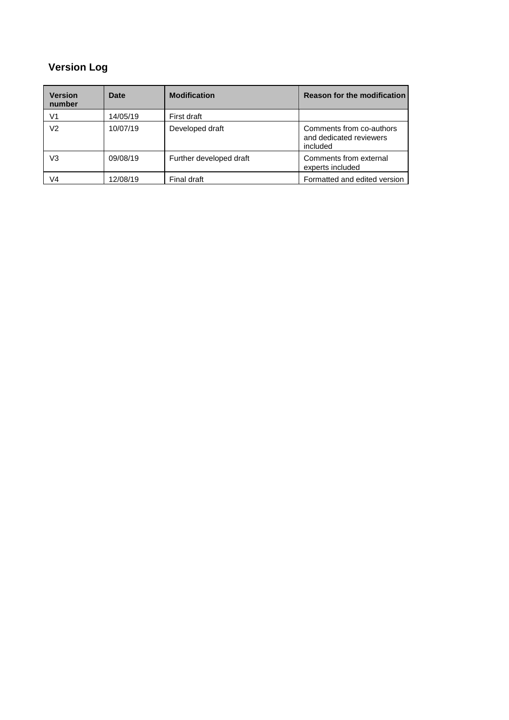# **Version Log**

| Version<br>number | Date     | <b>Modification</b>     | <b>Reason for the modification</b>                              |
|-------------------|----------|-------------------------|-----------------------------------------------------------------|
| V1                | 14/05/19 | First draft             |                                                                 |
| V2                | 10/07/19 | Developed draft         | Comments from co-authors<br>and dedicated reviewers<br>included |
| V3                | 09/08/19 | Further developed draft | Comments from external<br>experts included                      |
| V4                | 12/08/19 | Final draft             | Formatted and edited version                                    |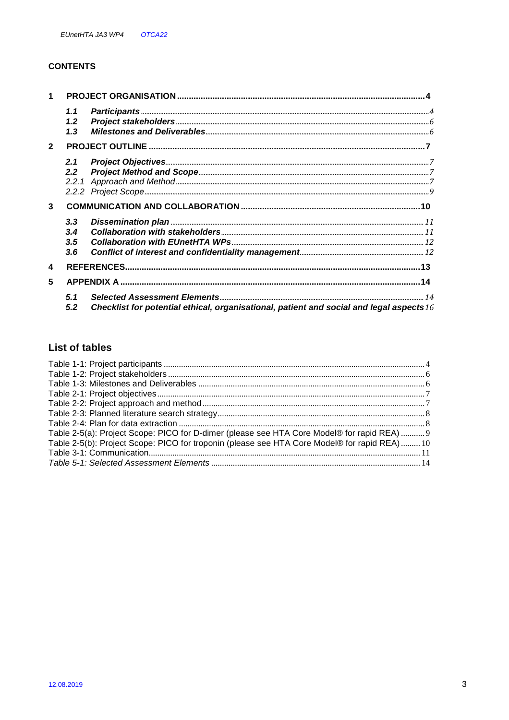#### **CONTENTS**

| $\mathbf{1}$ |                          |                                                                                            |  |
|--------------|--------------------------|--------------------------------------------------------------------------------------------|--|
|              | 1.1<br>1.2<br>1.3        |                                                                                            |  |
| $\mathbf{2}$ |                          |                                                                                            |  |
|              | 2.1<br>2.2 <sub>2</sub>  |                                                                                            |  |
| 3            |                          |                                                                                            |  |
|              | 3.3<br>3.4<br>3.5<br>3.6 |                                                                                            |  |
| 4            |                          |                                                                                            |  |
| 5            |                          |                                                                                            |  |
|              | 5.1<br>5.2               | Checklist for potential ethical, organisational, patient and social and legal aspects $16$ |  |

### **List of tables**

| Table 2-5(a): Project Scope: PICO for D-dimer (please see HTA Core Model® for rapid REA)  9  |  |
|----------------------------------------------------------------------------------------------|--|
| Table 2-5(b): Project Scope: PICO for troponin (please see HTA Core Model® for rapid REA) 10 |  |
|                                                                                              |  |
|                                                                                              |  |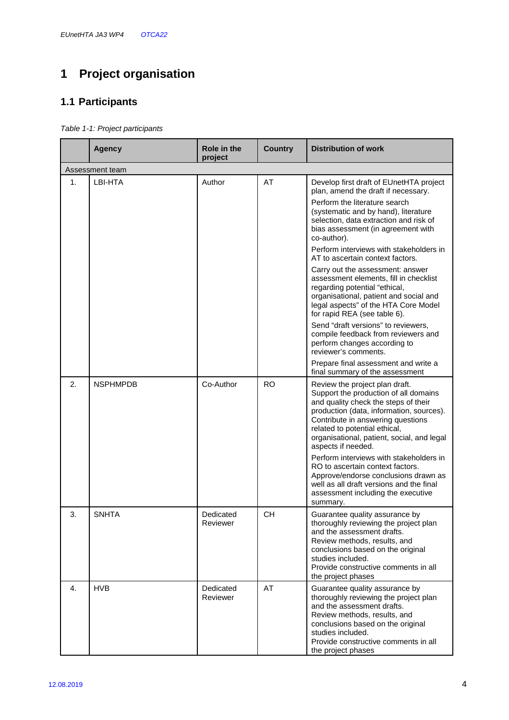# **1 Project organisation**

## **1.1 Participants**

Table 1-1: Project participants

|    | <b>Agency</b>   | <b>Role in the</b><br>project | <b>Country</b> | <b>Distribution of work</b>                                                                                                                                                                                                                                                                                                                                                                                                                                                                                                                                                                                                                                                                                                                          |
|----|-----------------|-------------------------------|----------------|------------------------------------------------------------------------------------------------------------------------------------------------------------------------------------------------------------------------------------------------------------------------------------------------------------------------------------------------------------------------------------------------------------------------------------------------------------------------------------------------------------------------------------------------------------------------------------------------------------------------------------------------------------------------------------------------------------------------------------------------------|
|    | Assessment team |                               |                |                                                                                                                                                                                                                                                                                                                                                                                                                                                                                                                                                                                                                                                                                                                                                      |
| 1. | LBI-HTA         | Author                        | AT             | Develop first draft of EUnetHTA project<br>plan, amend the draft if necessary.<br>Perform the literature search<br>(systematic and by hand), literature<br>selection, data extraction and risk of<br>bias assessment (in agreement with<br>co-author).<br>Perform interviews with stakeholders in<br>AT to ascertain context factors.<br>Carry out the assessment: answer<br>assessment elements, fill in checklist<br>regarding potential "ethical,<br>organisational, patient and social and<br>legal aspects" of the HTA Core Model<br>for rapid REA (see table 6).<br>Send "draft versions" to reviewers,<br>compile feedback from reviewers and<br>perform changes according to<br>reviewer's comments.<br>Prepare final assessment and write a |
| 2. | <b>NSPHMPDB</b> | Co-Author                     | <b>RO</b>      | final summary of the assessment<br>Review the project plan draft.<br>Support the production of all domains<br>and quality check the steps of their<br>production (data, information, sources).<br>Contribute in answering questions<br>related to potential ethical,<br>organisational, patient, social, and legal<br>aspects if needed.<br>Perform interviews with stakeholders in<br>RO to ascertain context factors.<br>Approve/endorse conclusions drawn as<br>well as all draft versions and the final<br>assessment including the executive<br>summary.                                                                                                                                                                                        |
| 3. | <b>SNHTA</b>    | Dedicated<br>Reviewer         | <b>CH</b>      | Guarantee quality assurance by<br>thoroughly reviewing the project plan<br>and the assessment drafts.<br>Review methods, results, and<br>conclusions based on the original<br>studies included.<br>Provide constructive comments in all<br>the project phases                                                                                                                                                                                                                                                                                                                                                                                                                                                                                        |
| 4. | <b>HVB</b>      | Dedicated<br>Reviewer         | AT             | Guarantee quality assurance by<br>thoroughly reviewing the project plan<br>and the assessment drafts.<br>Review methods, results, and<br>conclusions based on the original<br>studies included.<br>Provide constructive comments in all<br>the project phases                                                                                                                                                                                                                                                                                                                                                                                                                                                                                        |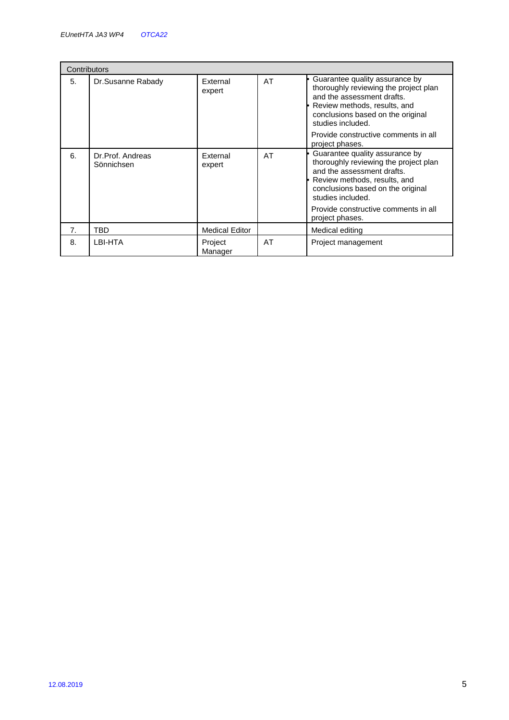| Contributors |                                |                       |    |                                                                                                                                                                                                 |
|--------------|--------------------------------|-----------------------|----|-------------------------------------------------------------------------------------------------------------------------------------------------------------------------------------------------|
| 5.           | Dr.Susanne Rabady              | External<br>expert    | AT | Guarantee quality assurance by<br>thoroughly reviewing the project plan<br>and the assessment drafts.<br>Review methods, results, and<br>conclusions based on the original<br>studies included. |
|              |                                |                       |    | Provide constructive comments in all<br>project phases.                                                                                                                                         |
| 6.           | Dr.Prof. Andreas<br>Sönnichsen | External<br>expert    | AT | Guarantee quality assurance by<br>thoroughly reviewing the project plan<br>and the assessment drafts.<br>Review methods, results, and<br>conclusions based on the original<br>studies included. |
|              |                                |                       |    | Provide constructive comments in all<br>project phases.                                                                                                                                         |
| 7.           | TBD                            | <b>Medical Editor</b> |    | Medical editing                                                                                                                                                                                 |
| 8.           | LBI-HTA                        | Project<br>Manager    | AT | Project management                                                                                                                                                                              |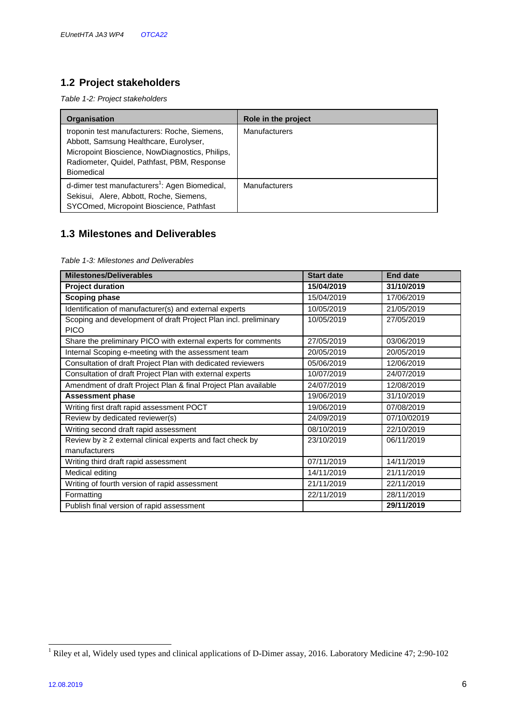# **1.2 Project stakeholders**

Table 1-2: Project stakeholders

| <b>Organisation</b>                                                                                                                                                                                           | Role in the project  |
|---------------------------------------------------------------------------------------------------------------------------------------------------------------------------------------------------------------|----------------------|
| troponin test manufacturers: Roche, Siemens,<br>Abbott, Samsung Healthcare, Eurolyser,<br>Micropoint Bioscience, NowDiagnostics, Philips,<br>Radiometer, Quidel, Pathfast, PBM, Response<br><b>Biomedical</b> | <b>Manufacturers</b> |
| d-dimer test manufacturers <sup>1</sup> : Agen Biomedical,<br>Sekisui, Alere, Abbott, Roche, Siemens,<br>SYCOmed, Micropoint Bioscience, Pathfast                                                             | Manufacturers        |

## **1.3 Milestones and Deliverables**

Table 1-3: Milestones and Deliverables

| <b>Milestones/Deliverables</b>                                                  | <b>Start date</b> | <b>End date</b> |
|---------------------------------------------------------------------------------|-------------------|-----------------|
| <b>Project duration</b>                                                         | 15/04/2019        | 31/10/2019      |
| <b>Scoping phase</b>                                                            | 15/04/2019        | 17/06/2019      |
| Identification of manufacturer(s) and external experts                          | 10/05/2019        | 21/05/2019      |
| Scoping and development of draft Project Plan incl. preliminary<br><b>PICO</b>  | 10/05/2019        | 27/05/2019      |
|                                                                                 |                   |                 |
| Share the preliminary PICO with external experts for comments                   | 27/05/2019        | 03/06/2019      |
| Internal Scoping e-meeting with the assessment team                             | 20/05/2019        | 20/05/2019      |
| Consultation of draft Project Plan with dedicated reviewers                     | 05/06/2019        | 12/06/2019      |
| Consultation of draft Project Plan with external experts                        | 10/07/2019        | 24/07/2019      |
| Amendment of draft Project Plan & final Project Plan available                  | 24/07/2019        | 12/08/2019      |
| <b>Assessment phase</b>                                                         | 19/06/2019        | 31/10/2019      |
| Writing first draft rapid assessment POCT                                       | 19/06/2019        | 07/08/2019      |
| Review by dedicated reviewer(s)                                                 | 24/09/2019        | 07/10/02019     |
| Writing second draft rapid assessment                                           | 08/10/2019        | 22/10/2019      |
| Review by $\geq 2$ external clinical experts and fact check by<br>manufacturers | 23/10/2019        | 06/11/2019      |
| Writing third draft rapid assessment                                            | 07/11/2019        | 14/11/2019      |
| Medical editing                                                                 | 14/11/2019        | 21/11/2019      |
| Writing of fourth version of rapid assessment                                   | 21/11/2019        | 22/11/2019      |
| Formatting                                                                      | 22/11/2019        | 28/11/2019      |
| Publish final version of rapid assessment                                       |                   | 29/11/2019      |

<sup>&</sup>lt;sup>1</sup> Riley et al, Widely used types and clinical applications of D-Dimer assay, 2016. Laboratory Medicine 47; 2:90-102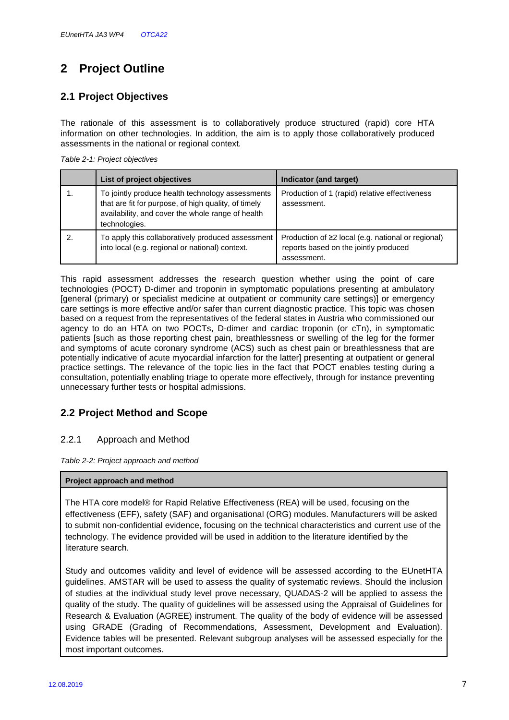# **2 Project Outline**

## **2.1 Project Objectives**

The rationale of this assessment is to collaboratively produce structured (rapid) core HTA information on other technologies. In addition, the aim is to apply those collaboratively produced assessments in the national or regional context.

|  | Table 2-1: Project objectives |
|--|-------------------------------|
|--|-------------------------------|

| List of project objectives                                                                                                                                                     | Indicator (and target)                                                                                           |
|--------------------------------------------------------------------------------------------------------------------------------------------------------------------------------|------------------------------------------------------------------------------------------------------------------|
| To jointly produce health technology assessments<br>that are fit for purpose, of high quality, of timely<br>availability, and cover the whole range of health<br>technologies. | Production of 1 (rapid) relative effectiveness<br>assessment.                                                    |
| To apply this collaboratively produced assessment<br>into local (e.g. regional or national) context.                                                                           | Production of $\geq 2$ local (e.g. national or regional)<br>reports based on the jointly produced<br>assessment. |

This rapid assessment addresses the research question whether using the point of care technologies (POCT) D-dimer and troponin in symptomatic populations presenting at ambulatory [general (primary) or specialist medicine at outpatient or community care settings)] or emergency care settings is more effective and/or safer than current diagnostic practice. This topic was chosen based on a request from the representatives of the federal states in Austria who commissioned our agency to do an HTA on two POCTs, D-dimer and cardiac troponin (or cTn), in symptomatic patients [such as those reporting chest pain, breathlessness or swelling of the leg for the former and symptoms of acute coronary syndrome (ACS) such as chest pain or breathlessness that are potentially indicative of acute myocardial infarction for the latter] presenting at outpatient or general practice settings. The relevance of the topic lies in the fact that POCT enables testing during a consultation, potentially enabling triage to operate more effectively, through for instance preventing unnecessary further tests or hospital admissions.

## **2.2 Project Method and Scope**

#### 2.2.1 Approach and Method

Table 2-2: Project approach and method

#### **Project approach and method**

The HTA core model® for Rapid Relative Effectiveness (REA) will be used, focusing on the effectiveness (EFF), safety (SAF) and organisational (ORG) modules. Manufacturers will be asked to submit non-confidential evidence, focusing on the technical characteristics and current use of the technology. The evidence provided will be used in addition to the literature identified by the literature search.

Study and outcomes validity and level of evidence will be assessed according to the EUnetHTA guidelines. AMSTAR will be used to assess the quality of systematic reviews. Should the inclusion of studies at the individual study level prove necessary, QUADAS-2 will be applied to assess the quality of the study. The quality of guidelines will be assessed using the Appraisal of Guidelines for Research & Evaluation (AGREE) instrument. The quality of the body of evidence will be assessed using GRADE (Grading of Recommendations, Assessment, Development and Evaluation). Evidence tables will be presented. Relevant subgroup analyses will be assessed especially for the most important outcomes.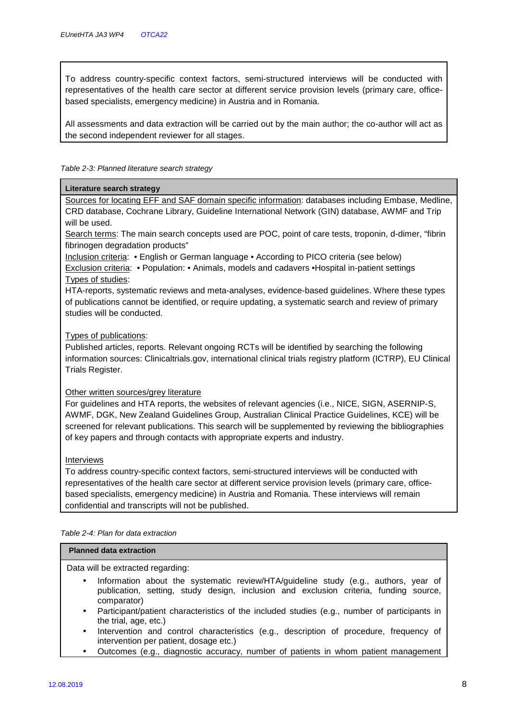To address country-specific context factors, semi-structured interviews will be conducted with representatives of the health care sector at different service provision levels (primary care, officebased specialists, emergency medicine) in Austria and in Romania.

All assessments and data extraction will be carried out by the main author; the co-author will act as the second independent reviewer for all stages.

#### Table 2-3: Planned literature search strategy

#### **Literature search strategy**

Sources for locating EFF and SAF domain specific information: databases including Embase, Medline, CRD database, Cochrane Library, Guideline International Network (GIN) database, AWMF and Trip will be used.

Search terms: The main search concepts used are POC, point of care tests, troponin, d-dimer, "fibrin fibrinogen degradation products"

Inclusion criteria: • English or German language • According to PICO criteria (see below) Exclusion criteria: • Population: • Animals, models and cadavers •Hospital in-patient settings Types of studies:

HTA-reports, systematic reviews and meta-analyses, evidence-based guidelines. Where these types of publications cannot be identified, or require updating, a systematic search and review of primary studies will be conducted.

#### Types of publications:

Published articles, reports. Relevant ongoing RCTs will be identified by searching the following information sources: Clinicaltrials.gov, international clinical trials registry platform (ICTRP), EU Clinical Trials Register.

#### Other written sources/grey literature

For guidelines and HTA reports, the websites of relevant agencies (i.e., NICE, SIGN, ASERNIP-S, AWMF, DGK, New Zealand Guidelines Group, Australian Clinical Practice Guidelines, KCE) will be screened for relevant publications. This search will be supplemented by reviewing the bibliographies of key papers and through contacts with appropriate experts and industry.

#### Interviews

To address country-specific context factors, semi-structured interviews will be conducted with representatives of the health care sector at different service provision levels (primary care, officebased specialists, emergency medicine) in Austria and Romania. These interviews will remain confidential and transcripts will not be published.

|  | Table 2-4: Plan for data extraction |
|--|-------------------------------------|
|--|-------------------------------------|

#### **Planned data extraction**

Data will be extracted regarding:

- Information about the systematic review/HTA/guideline study (e.g., authors, year of publication, setting, study design, inclusion and exclusion criteria, funding source, comparator)
- Participant/patient characteristics of the included studies (e.g., number of participants in the trial, age, etc.)
- Intervention and control characteristics (e.g., description of procedure, frequency of intervention per patient, dosage etc.)
- Outcomes (e.g., diagnostic accuracy, number of patients in whom patient management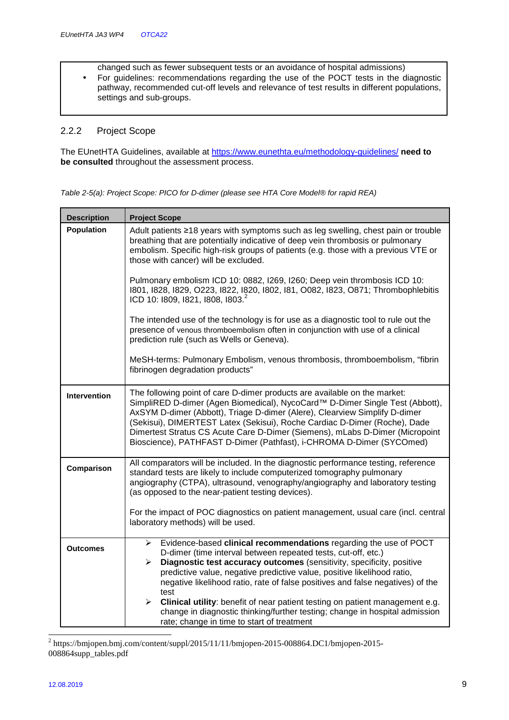changed such as fewer subsequent tests or an avoidance of hospital admissions)

• For guidelines: recommendations regarding the use of the POCT tests in the diagnostic pathway, recommended cut-off levels and relevance of test results in different populations, settings and sub-groups.

#### 2.2.2 Project Scope

The EUnetHTA Guidelines, available at https://www.eunethta.eu/methodology-guidelines/ **need to be consulted** throughout the assessment process.

|  | Table 2-5(a): Project Scope: PICO for D-dimer (please see HTA Core Model® for rapid REA) |  |
|--|------------------------------------------------------------------------------------------|--|
|--|------------------------------------------------------------------------------------------|--|

| <b>Description</b> | <b>Project Scope</b>                                                                                                                                                                                                                                                                                                                                                                                                                                                         |
|--------------------|------------------------------------------------------------------------------------------------------------------------------------------------------------------------------------------------------------------------------------------------------------------------------------------------------------------------------------------------------------------------------------------------------------------------------------------------------------------------------|
| <b>Population</b>  | Adult patients ≥18 years with symptoms such as leg swelling, chest pain or trouble<br>breathing that are potentially indicative of deep vein thrombosis or pulmonary<br>embolism. Specific high-risk groups of patients (e.g. those with a previous VTE or<br>those with cancer) will be excluded.                                                                                                                                                                           |
|                    | Pulmonary embolism ICD 10: 0882, I269, I260; Deep vein thrombosis ICD 10:<br>1801, 1828, 1829, O223, 1822, 1820, 1802, 181, O082, 1823, O871; Thrombophlebitis<br>ICD 10: 1809, 1821, 1808, 1803. <sup>2</sup>                                                                                                                                                                                                                                                               |
|                    | The intended use of the technology is for use as a diagnostic tool to rule out the<br>presence of venous thromboembolism often in conjunction with use of a clinical<br>prediction rule (such as Wells or Geneva).                                                                                                                                                                                                                                                           |
|                    | MeSH-terms: Pulmonary Embolism, venous thrombosis, thromboembolism, "fibrin<br>fibrinogen degradation products"                                                                                                                                                                                                                                                                                                                                                              |
| Intervention       | The following point of care D-dimer products are available on the market:<br>SimpliRED D-dimer (Agen Biomedical), NycoCard™ D-Dimer Single Test (Abbott),<br>AxSYM D-dimer (Abbott), Triage D-dimer (Alere), Clearview Simplify D-dimer<br>(Sekisui), DIMERTEST Latex (Sekisui), Roche Cardiac D-Dimer (Roche), Dade<br>Dimertest Stratus CS Acute Care D-Dimer (Siemens), mLabs D-Dimer (Micropoint<br>Bioscience), PATHFAST D-Dimer (Pathfast), i-CHROMA D-Dimer (SYCOmed) |
| Comparison         | All comparators will be included. In the diagnostic performance testing, reference<br>standard tests are likely to include computerized tomography pulmonary<br>angiography (CTPA), ultrasound, venography/angiography and laboratory testing<br>(as opposed to the near-patient testing devices).                                                                                                                                                                           |
|                    | For the impact of POC diagnostics on patient management, usual care (incl. central<br>laboratory methods) will be used.                                                                                                                                                                                                                                                                                                                                                      |
| <b>Outcomes</b>    | Evidence-based clinical recommendations regarding the use of POCT<br>≻<br>D-dimer (time interval between repeated tests, cut-off, etc.)<br>Diagnostic test accuracy outcomes (sensitivity, specificity, positive<br>➤<br>predictive value, negative predictive value, positive likelihood ratio,<br>negative likelihood ratio, rate of false positives and false negatives) of the<br>test                                                                                   |
|                    | Clinical utility: benefit of near patient testing on patient management e.g.<br>≻<br>change in diagnostic thinking/further testing; change in hospital admission<br>rate; change in time to start of treatment                                                                                                                                                                                                                                                               |

 2 https://bmjopen.bmj.com/content/suppl/2015/11/11/bmjopen-2015-008864.DC1/bmjopen-2015- 008864supp\_tables.pdf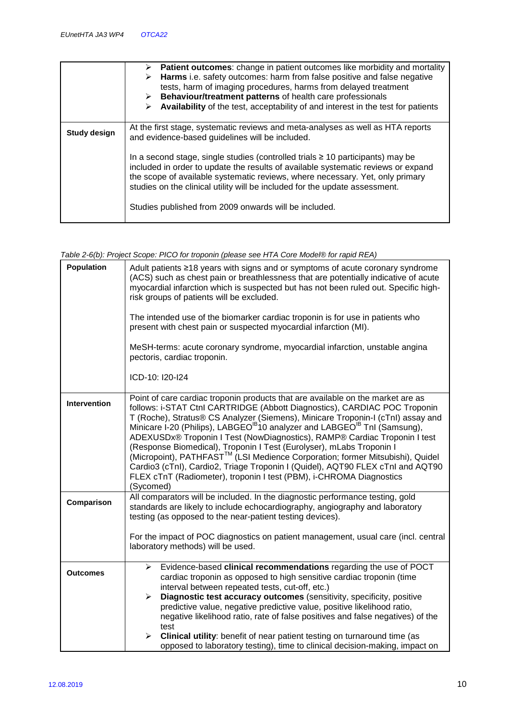|                     | <b>Patient outcomes:</b> change in patient outcomes like morbidity and mortality<br>➤<br>Harms i.e. safety outcomes: harm from false positive and false negative<br>➤<br>tests, harm of imaging procedures, harms from delayed treatment<br>$\triangleright$ Behaviour/treatment patterns of health care professionals<br>Availability of the test, acceptability of and interest in the test for patients |  |  |  |  |  |
|---------------------|------------------------------------------------------------------------------------------------------------------------------------------------------------------------------------------------------------------------------------------------------------------------------------------------------------------------------------------------------------------------------------------------------------|--|--|--|--|--|
| <b>Study design</b> | At the first stage, systematic reviews and meta-analyses as well as HTA reports<br>and evidence-based guidelines will be included.                                                                                                                                                                                                                                                                         |  |  |  |  |  |
|                     | In a second stage, single studies (controlled trials $\geq$ 10 participants) may be<br>included in order to update the results of available systematic reviews or expand<br>the scope of available systematic reviews, where necessary. Yet, only primary<br>studies on the clinical utility will be included for the update assessment.<br>Studies published from 2009 onwards will be included.          |  |  |  |  |  |

| Table 2-6(b): Project Scope: PICO for troponin (please see HTA Core Model® for rapid REA) |  |  |  |
|-------------------------------------------------------------------------------------------|--|--|--|
|-------------------------------------------------------------------------------------------|--|--|--|

| Population      | Adult patients ≥18 years with signs and or symptoms of acute coronary syndrome<br>(ACS) such as chest pain or breathlessness that are potentially indicative of acute<br>myocardial infarction which is suspected but has not been ruled out. Specific high-<br>risk groups of patients will be excluded.<br>The intended use of the biomarker cardiac troponin is for use in patients who<br>present with chest pain or suspected myocardial infarction (MI).<br>MeSH-terms: acute coronary syndrome, myocardial infarction, unstable angina<br>pectoris, cardiac troponin.<br>ICD-10: I20-I24                                                                                                                                                              |  |  |  |  |  |
|-----------------|--------------------------------------------------------------------------------------------------------------------------------------------------------------------------------------------------------------------------------------------------------------------------------------------------------------------------------------------------------------------------------------------------------------------------------------------------------------------------------------------------------------------------------------------------------------------------------------------------------------------------------------------------------------------------------------------------------------------------------------------------------------|--|--|--|--|--|
|                 |                                                                                                                                                                                                                                                                                                                                                                                                                                                                                                                                                                                                                                                                                                                                                              |  |  |  |  |  |
| Intervention    | Point of care cardiac troponin products that are available on the market are as<br>follows: i-STAT Ctnl CARTRIDGE (Abbott Diagnostics), CARDIAC POC Troponin<br>T (Roche), Stratus® CS Analyzer (Siemens), Minicare Troponin-I (cTnI) assay and Minicare I-20 (Philips), LABGEO <sup>IB</sup> 10 analyzer and LABGEO <sup>IB</sup> TnI (Samsung),<br>ADEXUSDx® Troponin I Test (NowDiagnostics), RAMP® Cardiac Troponin I test<br>(Response Biomedical), Troponin I Test (Eurolyser), mLabs Troponin I<br>(Micropoint), PATHFAST <sup>™</sup> (LSI Medience Corporation; former Mitsubishi), Quidel<br>Cardio3 (cTnl), Cardio2, Triage Troponin I (Quidel), AQT90 FLEX cTnl and AQT90<br>FLEX cTnT (Radiometer), troponin I test (PBM), i-CHROMA Diagnostics |  |  |  |  |  |
| Comparison      | (Sycomed)<br>All comparators will be included. In the diagnostic performance testing, gold<br>standards are likely to include echocardiography, angiography and laboratory<br>testing (as opposed to the near-patient testing devices).                                                                                                                                                                                                                                                                                                                                                                                                                                                                                                                      |  |  |  |  |  |
|                 | For the impact of POC diagnostics on patient management, usual care (incl. central                                                                                                                                                                                                                                                                                                                                                                                                                                                                                                                                                                                                                                                                           |  |  |  |  |  |
|                 | laboratory methods) will be used.                                                                                                                                                                                                                                                                                                                                                                                                                                                                                                                                                                                                                                                                                                                            |  |  |  |  |  |
| <b>Outcomes</b> | Evidence-based clinical recommendations regarding the use of POCT<br>$\blacktriangleright$<br>cardiac troponin as opposed to high sensitive cardiac troponin (time<br>interval between repeated tests, cut-off, etc.)                                                                                                                                                                                                                                                                                                                                                                                                                                                                                                                                        |  |  |  |  |  |
|                 | Diagnostic test accuracy outcomes (sensitivity, specificity, positive<br>$\blacktriangleright$                                                                                                                                                                                                                                                                                                                                                                                                                                                                                                                                                                                                                                                               |  |  |  |  |  |
|                 | predictive value, negative predictive value, positive likelihood ratio,<br>negative likelihood ratio, rate of false positives and false negatives) of the<br>test                                                                                                                                                                                                                                                                                                                                                                                                                                                                                                                                                                                            |  |  |  |  |  |
|                 | Clinical utility: benefit of near patient testing on turnaround time (as<br>$\blacktriangleright$<br>opposed to laboratory testing), time to clinical decision-making, impact on                                                                                                                                                                                                                                                                                                                                                                                                                                                                                                                                                                             |  |  |  |  |  |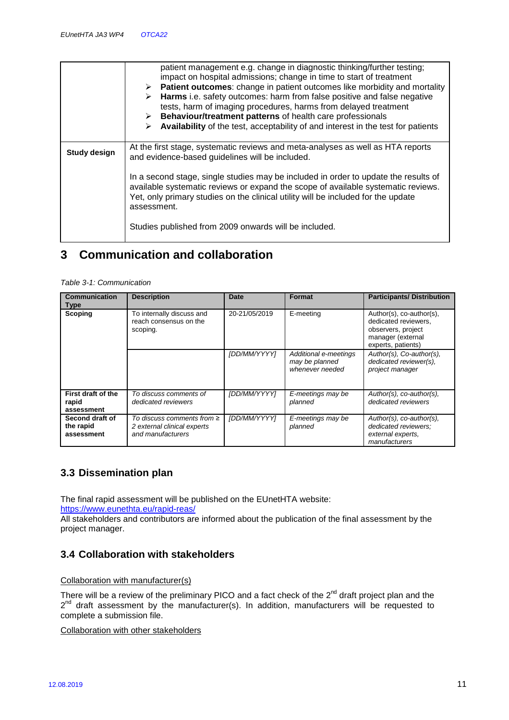|                     | patient management e.g. change in diagnostic thinking/further testing;<br>impact on hospital admissions; change in time to start of treatment<br>$\triangleright$ Patient outcomes: change in patient outcomes like morbidity and mortality<br>> Harms i.e. safety outcomes: harm from false positive and false negative<br>tests, harm of imaging procedures, harms from delayed treatment<br>> Behaviour/treatment patterns of health care professionals<br>Availability of the test, acceptability of and interest in the test for patients<br>➤ |  |  |  |  |
|---------------------|-----------------------------------------------------------------------------------------------------------------------------------------------------------------------------------------------------------------------------------------------------------------------------------------------------------------------------------------------------------------------------------------------------------------------------------------------------------------------------------------------------------------------------------------------------|--|--|--|--|
| <b>Study design</b> | At the first stage, systematic reviews and meta-analyses as well as HTA reports<br>and evidence-based guidelines will be included.                                                                                                                                                                                                                                                                                                                                                                                                                  |  |  |  |  |
|                     | In a second stage, single studies may be included in order to update the results of<br>available systematic reviews or expand the scope of available systematic reviews.<br>Yet, only primary studies on the clinical utility will be included for the update<br>assessment.<br>Studies published from 2009 onwards will be included.                                                                                                                                                                                                               |  |  |  |  |

# **3 Communication and collaboration**

| Communication<br>Type                      | <b>Description</b>                                                                  | Date          | Format                                                     | <b>Participants/Distribution</b>                                                                                  |
|--------------------------------------------|-------------------------------------------------------------------------------------|---------------|------------------------------------------------------------|-------------------------------------------------------------------------------------------------------------------|
| <b>Scoping</b>                             | To internally discuss and<br>reach consensus on the<br>scoping.                     | 20-21/05/2019 | E-meeting                                                  | Author(s), co-author(s),<br>dedicated reviewers.<br>observers, project<br>manager (external<br>experts, patients) |
|                                            |                                                                                     | [DD/MM/YYYY]  | Additional e-meetings<br>may be planned<br>whenever needed | Author(s), Co-author(s),<br>dedicated reviewer(s),<br>project manager                                             |
| First draft of the<br>rapid<br>assessment  | To discuss comments of<br>dedicated reviewers                                       | [DD/MM/YYYY]  | E-meetings may be<br>planned                               | Author(s), co-author(s),<br>dedicated reviewers                                                                   |
| Second draft of<br>the rapid<br>assessment | To discuss comments from $\geq$<br>2 external clinical experts<br>and manufacturers | [DD/MM/YYYY]  | E-meetings may be<br>planned                               | Author(s), co-author(s),<br>dedicated reviewers:<br>external experts.<br>manufacturers                            |

### **3.3 Dissemination plan**

The final rapid assessment will be published on the EUnetHTA website: https://www.eunethta.eu/rapid-reas/

All stakeholders and contributors are informed about the publication of the final assessment by the project manager.

## **3.4 Collaboration with stakeholders**

Collaboration with manufacturer(s)

There will be a review of the preliminary PICO and a fact check of the  $2^{nd}$  draft project plan and the 2<sup>nd</sup> draft assessment by the manufacturer(s). In addition, manufacturers will be requested to complete a submission file.

Collaboration with other stakeholders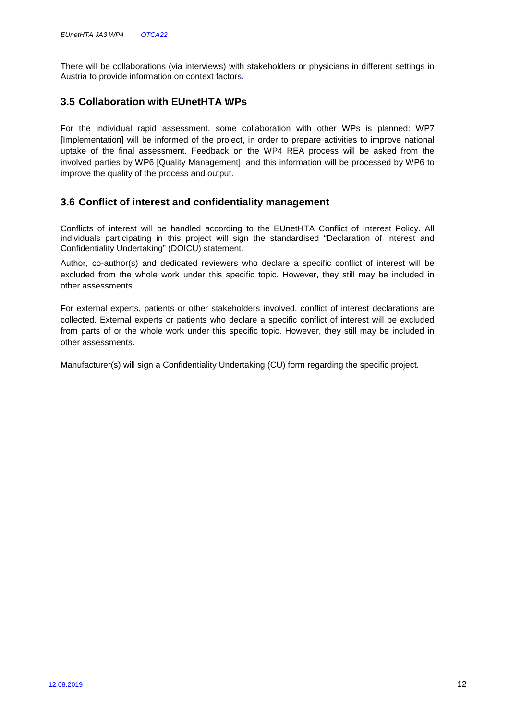There will be collaborations (via interviews) with stakeholders or physicians in different settings in Austria to provide information on context factors.

### **3.5 Collaboration with EUnetHTA WPs**

For the individual rapid assessment, some collaboration with other WPs is planned: WP7 [Implementation] will be informed of the project, in order to prepare activities to improve national uptake of the final assessment. Feedback on the WP4 REA process will be asked from the involved parties by WP6 [Quality Management], and this information will be processed by WP6 to improve the quality of the process and output.

#### **3.6 Conflict of interest and confidentiality management**

Conflicts of interest will be handled according to the EUnetHTA Conflict of Interest Policy. All individuals participating in this project will sign the standardised "Declaration of Interest and Confidentiality Undertaking" (DOICU) statement.

Author, co-author(s) and dedicated reviewers who declare a specific conflict of interest will be excluded from the whole work under this specific topic. However, they still may be included in other assessments.

For external experts, patients or other stakeholders involved, conflict of interest declarations are collected. External experts or patients who declare a specific conflict of interest will be excluded from parts of or the whole work under this specific topic. However, they still may be included in other assessments.

Manufacturer(s) will sign a Confidentiality Undertaking (CU) form regarding the specific project.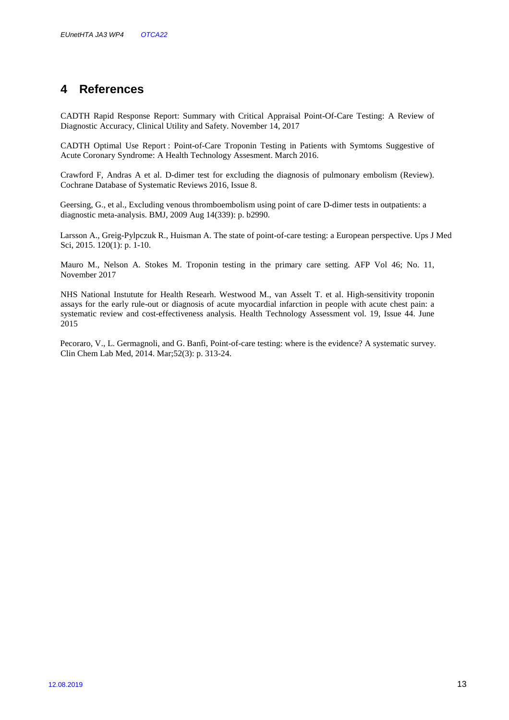# **4 References**

CADTH Rapid Response Report: Summary with Critical Appraisal Point-Of-Care Testing: A Review of Diagnostic Accuracy, Clinical Utility and Safety. November 14, 2017

CADTH Optimal Use Report : Point-of-Care Troponin Testing in Patients with Symtoms Suggestive of Acute Coronary Syndrome: A Health Technology Assesment. March 2016.

Crawford F, Andras A et al. D-dimer test for excluding the diagnosis of pulmonary embolism (Review). Cochrane Database of Systematic Reviews 2016, Issue 8.

Geersing, G., et al., Excluding venous thromboembolism using point of care D-dimer tests in outpatients: a diagnostic meta-analysis. BMJ, 2009 Aug 14(339): p. b2990.

Larsson A., Greig-Pylpczuk R., Huisman A. The state of point-of-care testing: a European perspective. Ups J Med Sci, 2015. 120(1): p. 1-10.

Mauro M., Nelson A. Stokes M. Troponin testing in the primary care setting. AFP Vol 46; No. 11, November 2017

NHS National Instutute for Health Researh. Westwood M., van Asselt T. et al. High-sensitivity troponin assays for the early rule-out or diagnosis of acute myocardial infarction in people with acute chest pain: a systematic review and cost-effectiveness analysis. Health Technology Assessment vol. 19, Issue 44. June 2015

Pecoraro, V., L. Germagnoli, and G. Banfi, Point-of-care testing: where is the evidence? A systematic survey. Clin Chem Lab Med, 2014. Mar;52(3): p. 313-24.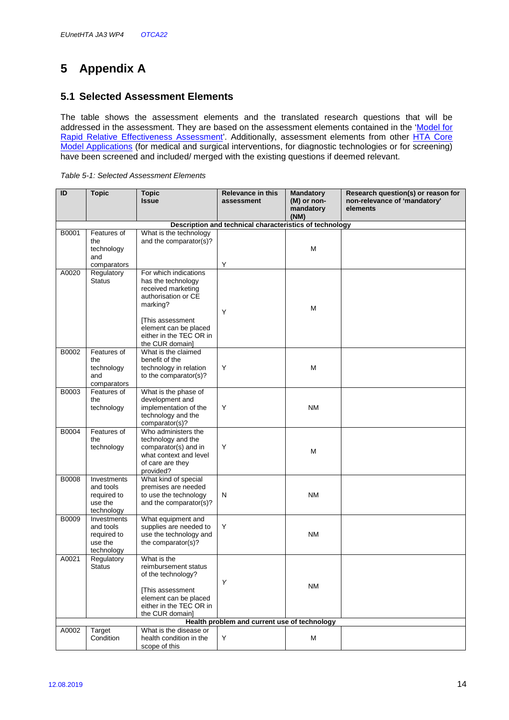# **5 Appendix A**

### **5.1 Selected Assessment Elements**

The table shows the assessment elements and the translated research questions that will be addressed in the assessment. They are based on the assessment elements contained in the 'Model for Rapid Relative Effectiveness Assessment'. Additionally, assessment elements from other HTA Core Model Applications (for medical and surgical interventions, for diagnostic technologies or for screening) have been screened and included/ merged with the existing questions if deemed relevant.

|  | Table 5-1: Selected Assessment Elements |  |
|--|-----------------------------------------|--|
|  |                                         |  |

| ID           | <b>Topic</b>                | <b>Topic</b>                                     | <b>Relevance in this</b>                                | <b>Mandatory</b>  | Research question(s) or reason for |
|--------------|-----------------------------|--------------------------------------------------|---------------------------------------------------------|-------------------|------------------------------------|
|              |                             | <b>Issue</b>                                     | assessment                                              | (M) or non-       | non-relevance of 'mandatory'       |
|              |                             |                                                  |                                                         | mandatory<br>(NM) | elements                           |
|              |                             |                                                  | Description and technical characteristics of technology |                   |                                    |
| B0001        | Features of                 | What is the technology                           |                                                         |                   |                                    |
|              | the                         | and the comparator(s)?                           |                                                         |                   |                                    |
|              | technology                  |                                                  |                                                         | M                 |                                    |
|              | and                         |                                                  |                                                         |                   |                                    |
|              | comparators                 |                                                  | Υ                                                       |                   |                                    |
| A0020        | Regulatory<br><b>Status</b> | For which indications<br>has the technology      |                                                         |                   |                                    |
|              |                             | received marketing                               |                                                         |                   |                                    |
|              |                             | authorisation or CE                              |                                                         |                   |                                    |
|              |                             | marking?                                         |                                                         | M                 |                                    |
|              |                             |                                                  | Y                                                       |                   |                                    |
|              |                             | [This assessment                                 |                                                         |                   |                                    |
|              |                             | element can be placed<br>either in the TEC OR in |                                                         |                   |                                    |
|              |                             | the CUR domain]                                  |                                                         |                   |                                    |
| B0002        | Features of                 | What is the claimed                              |                                                         |                   |                                    |
|              | the                         | benefit of the                                   |                                                         |                   |                                    |
|              | technology                  | technology in relation                           | Y                                                       | M                 |                                    |
|              | and<br>comparators          | to the comparator(s)?                            |                                                         |                   |                                    |
| B0003        | Features of                 | What is the phase of                             |                                                         |                   |                                    |
|              | the                         | development and                                  |                                                         |                   |                                    |
|              | technology                  | implementation of the                            | Y                                                       | <b>NM</b>         |                                    |
|              |                             | technology and the                               |                                                         |                   |                                    |
| B0004        | Features of                 | comparator(s)?<br>Who administers the            |                                                         |                   |                                    |
|              | the                         | technology and the                               |                                                         |                   |                                    |
|              | technology                  | comparator(s) and in                             | Y                                                       | M                 |                                    |
|              |                             | what context and level                           |                                                         |                   |                                    |
|              |                             | of care are they                                 |                                                         |                   |                                    |
| <b>B0008</b> | Investments                 | provided?<br>What kind of special                |                                                         |                   |                                    |
|              | and tools                   | premises are needed                              |                                                         |                   |                                    |
|              | required to                 | to use the technology                            | N                                                       | <b>NM</b>         |                                    |
|              | use the                     | and the comparator(s)?                           |                                                         |                   |                                    |
| B0009        | technology<br>Investments   | What equipment and                               |                                                         |                   |                                    |
|              | and tools                   | supplies are needed to                           | Υ                                                       |                   |                                    |
|              | required to                 | use the technology and                           |                                                         | ΝM                |                                    |
|              | use the                     | the comparator(s)?                               |                                                         |                   |                                    |
|              | technology                  |                                                  |                                                         |                   |                                    |
| A0021        | Regulatory                  | What is the                                      |                                                         |                   |                                    |
|              | Status                      | reimbursement status<br>of the technology?       |                                                         |                   |                                    |
|              |                             |                                                  | Y                                                       |                   |                                    |
|              |                             | [This assessment                                 |                                                         | NM                |                                    |
|              |                             | element can be placed                            |                                                         |                   |                                    |
|              |                             | either in the TEC OR in<br>the CUR domain]       |                                                         |                   |                                    |
|              |                             |                                                  | Health problem and current use of technology            |                   |                                    |
| A0002        | Target                      | What is the disease or                           |                                                         |                   |                                    |
|              | Condition                   | health condition in the                          | Y                                                       | м                 |                                    |
|              |                             | scope of this                                    |                                                         |                   |                                    |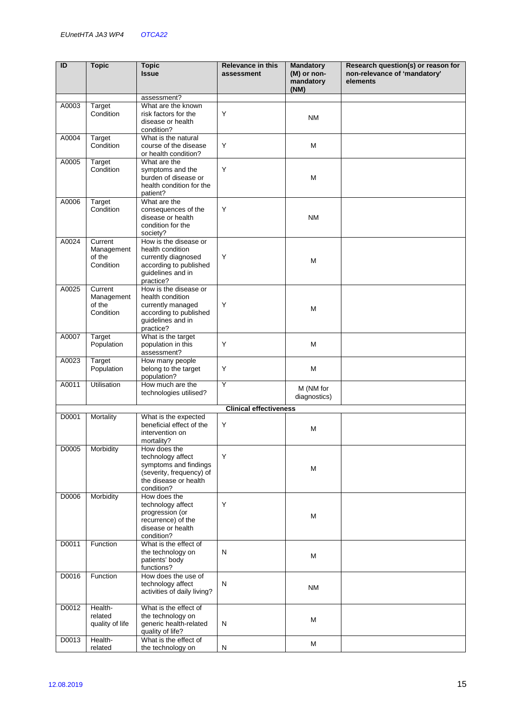| ID    | <b>Topic</b>          | <b>Topic</b><br><b>Issue</b>                     | <b>Relevance in this</b><br>assessment | <b>Mandatory</b><br>(M) or non- | Research question(s) or reason for<br>non-relevance of 'mandatory' |
|-------|-----------------------|--------------------------------------------------|----------------------------------------|---------------------------------|--------------------------------------------------------------------|
|       |                       |                                                  |                                        | mandatory<br>(NM)               | elements                                                           |
|       |                       | assessment?                                      |                                        |                                 |                                                                    |
| A0003 | Target                | What are the known                               |                                        |                                 |                                                                    |
|       | Condition             | risk factors for the                             | Y                                      | <b>NM</b>                       |                                                                    |
|       |                       | disease or health                                |                                        |                                 |                                                                    |
| A0004 | Target                | condition?<br>What is the natural                |                                        |                                 |                                                                    |
|       | Condition             | course of the disease                            | Υ                                      | М                               |                                                                    |
|       |                       | or health condition?                             |                                        |                                 |                                                                    |
| A0005 | <b>Target</b>         | What are the                                     |                                        |                                 |                                                                    |
|       | Condition             | symptoms and the                                 | Y                                      |                                 |                                                                    |
|       |                       | burden of disease or<br>health condition for the |                                        | M                               |                                                                    |
|       |                       | patient?                                         |                                        |                                 |                                                                    |
| A0006 | Target                | What are the                                     |                                        |                                 |                                                                    |
|       | Condition             | consequences of the                              | Y                                      |                                 |                                                                    |
|       |                       | disease or health                                |                                        | <b>NM</b>                       |                                                                    |
|       |                       | condition for the                                |                                        |                                 |                                                                    |
| A0024 | Current               | society?<br>How is the disease or                |                                        |                                 |                                                                    |
|       | Management            | health condition                                 |                                        |                                 |                                                                    |
|       | of the                | currently diagnosed                              | Y                                      |                                 |                                                                    |
|       | Condition             | according to published                           |                                        | M                               |                                                                    |
|       |                       | guidelines and in                                |                                        |                                 |                                                                    |
|       |                       | practice?                                        |                                        |                                 |                                                                    |
| A0025 | Current<br>Management | How is the disease or<br>health condition        |                                        |                                 |                                                                    |
|       | of the                | currently managed                                | Y                                      |                                 |                                                                    |
|       | Condition             | according to published                           |                                        | M                               |                                                                    |
|       |                       | guidelines and in                                |                                        |                                 |                                                                    |
|       |                       | practice?                                        |                                        |                                 |                                                                    |
| A0007 | Target                | What is the target                               |                                        |                                 |                                                                    |
|       | Population            | population in this<br>assessment?                | Y                                      | M                               |                                                                    |
| A0023 | <b>Target</b>         | How many people                                  |                                        |                                 |                                                                    |
|       | Population            | belong to the target                             | Y                                      | M                               |                                                                    |
|       |                       | population?                                      |                                        |                                 |                                                                    |
| A0011 | <b>Utilisation</b>    | How much are the                                 | Y                                      | M (NM for                       |                                                                    |
|       |                       | technologies utilised?                           |                                        | diagnostics)                    |                                                                    |
|       |                       |                                                  | <b>Clinical effectiveness</b>          |                                 |                                                                    |
| D0001 | Mortality             | What is the expected                             |                                        |                                 |                                                                    |
|       |                       | beneficial effect of the                         | Υ                                      | M                               |                                                                    |
|       |                       | intervention on                                  |                                        |                                 |                                                                    |
| D0005 | Morbidity             | mortality?<br>How does the                       |                                        |                                 |                                                                    |
|       |                       | technology affect                                | Y                                      |                                 |                                                                    |
|       |                       | symptoms and findings                            |                                        | M                               |                                                                    |
|       |                       | (severity, frequency) of                         |                                        |                                 |                                                                    |
|       |                       | the disease or health                            |                                        |                                 |                                                                    |
| D0006 | Morbidity             | condition?<br>How does the                       |                                        |                                 |                                                                    |
|       |                       | technology affect                                | Y                                      |                                 |                                                                    |
|       |                       | progression (or                                  |                                        |                                 |                                                                    |
|       |                       | recurrence) of the                               |                                        | М                               |                                                                    |
|       |                       | disease or health                                |                                        |                                 |                                                                    |
|       |                       | condition?                                       |                                        |                                 |                                                                    |
| D0011 | Function              | What is the effect of<br>the technology on       | N                                      |                                 |                                                                    |
|       |                       | patients' body                                   |                                        | M                               |                                                                    |
|       |                       | functions?                                       |                                        |                                 |                                                                    |
| D0016 | Function              | How does the use of                              |                                        |                                 |                                                                    |
|       |                       | technology affect                                | N                                      | <b>NM</b>                       |                                                                    |
|       |                       | activities of daily living?                      |                                        |                                 |                                                                    |
| D0012 | Health-               | What is the effect of                            |                                        |                                 |                                                                    |
|       | related               | the technology on                                |                                        |                                 |                                                                    |
|       | quality of life       | generic health-related                           | N                                      | M                               |                                                                    |
|       |                       | quality of life?                                 |                                        |                                 |                                                                    |
| D0013 | Health-               | What is the effect of                            |                                        | M                               |                                                                    |
|       | related               | the technology on                                | $\mathsf{N}$                           |                                 |                                                                    |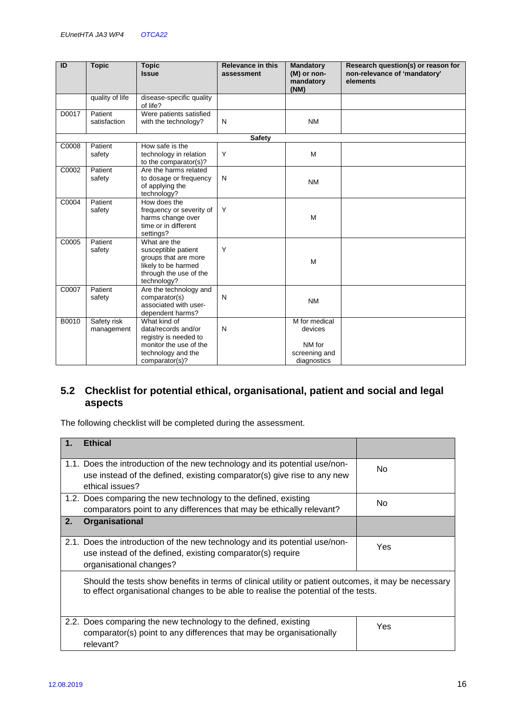| ID    | <b>Topic</b>    | <b>Topic</b><br><b>Issue</b>                  | <b>Relevance in this</b><br>assessment | <b>Mandatory</b><br>(M) or non-<br>mandatory | Research question(s) or reason for<br>non-relevance of 'mandatory'<br>elements |
|-------|-----------------|-----------------------------------------------|----------------------------------------|----------------------------------------------|--------------------------------------------------------------------------------|
|       |                 |                                               |                                        | (NM)                                         |                                                                                |
|       | quality of life | disease-specific quality                      |                                        |                                              |                                                                                |
|       |                 | of life?                                      |                                        |                                              |                                                                                |
| D0017 | Patient         | Were patients satisfied                       |                                        |                                              |                                                                                |
|       | satisfaction    | with the technology?                          | N                                      | <b>NM</b>                                    |                                                                                |
|       |                 |                                               | <b>Safety</b>                          |                                              |                                                                                |
| C0008 | Patient         | How safe is the                               |                                        |                                              |                                                                                |
|       | safety          | technology in relation                        | Y                                      | M                                            |                                                                                |
|       |                 | to the comparator(s)?                         |                                        |                                              |                                                                                |
| C0002 | Patient         | Are the harms related                         |                                        |                                              |                                                                                |
|       | safety          | to dosage or frequency                        | N                                      | <b>NM</b>                                    |                                                                                |
|       |                 | of applying the                               |                                        |                                              |                                                                                |
|       |                 | technology?                                   |                                        |                                              |                                                                                |
| C0004 | Patient         | How does the                                  | Y                                      |                                              |                                                                                |
|       | safety          | frequency or severity of<br>harms change over |                                        | M                                            |                                                                                |
|       |                 | time or in different                          |                                        |                                              |                                                                                |
|       |                 | settings?                                     |                                        |                                              |                                                                                |
| C0005 | Patient         | What are the                                  |                                        |                                              |                                                                                |
|       | safety          | susceptible patient                           | Y                                      |                                              |                                                                                |
|       |                 | groups that are more                          |                                        | M                                            |                                                                                |
|       |                 | likely to be harmed                           |                                        |                                              |                                                                                |
|       |                 | through the use of the                        |                                        |                                              |                                                                                |
|       |                 | technology?                                   |                                        |                                              |                                                                                |
| C0007 | Patient         | Are the technology and<br>comparator(s)       | $\mathsf{N}$                           |                                              |                                                                                |
|       | safety          | associated with user-                         |                                        | <b>NM</b>                                    |                                                                                |
|       |                 | dependent harms?                              |                                        |                                              |                                                                                |
| B0010 | Safety risk     | What kind of                                  |                                        | M for medical                                |                                                                                |
|       | management      | data/records and/or                           | N                                      | devices                                      |                                                                                |
|       |                 | registry is needed to                         |                                        |                                              |                                                                                |
|       |                 | monitor the use of the                        |                                        | NM for                                       |                                                                                |
|       |                 | technology and the                            |                                        | screening and                                |                                                                                |
|       |                 | comparator(s)?                                |                                        | diagnostics                                  |                                                                                |

### **5.2 Checklist for potential ethical, organisational, patient and social and legal aspects**

The following checklist will be completed during the assessment.

| <b>Ethical</b><br>$\mathbf 1$ . |                                                                                                                                                                                            |     |
|---------------------------------|--------------------------------------------------------------------------------------------------------------------------------------------------------------------------------------------|-----|
| ethical issues?                 | 1.1. Does the introduction of the new technology and its potential use/non-<br>use instead of the defined, existing comparator(s) give rise to any new                                     | No. |
|                                 | 1.2. Does comparing the new technology to the defined, existing<br>comparators point to any differences that may be ethically relevant?                                                    | No. |
| Organisational<br>2.            |                                                                                                                                                                                            |     |
| organisational changes?         | 2.1. Does the introduction of the new technology and its potential use/non-<br>use instead of the defined, existing comparator(s) require                                                  | Yes |
|                                 | Should the tests show benefits in terms of clinical utility or patient outcomes, it may be necessary<br>to effect organisational changes to be able to realise the potential of the tests. |     |
| relevant?                       | 2.2. Does comparing the new technology to the defined, existing<br>comparator(s) point to any differences that may be organisationally                                                     | Yes |